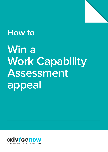

# **How to**

# **Win a Work Capability Assessment appeal**

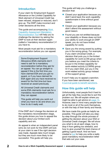### **Introduction**

If your claim for Employment Support Allowance or the Limited Capability for Work element of Universal Credit has been refused, stopped or reduced, don't give up. The DWP make incorrect and unfair decisions all the time.

This guide and accompanying [Work](https://www.advicenow.org.uk/wca-mr-tool)  [Capability Assessment Mandatory](https://www.advicenow.org.uk/wca-mr-tool)  [Reconsideration Tool](https://www.advicenow.org.uk/wca-mr-tool) will help you to challenge the decision by asking the DWP to look at their decision again (called a 'mandatory reconsideration') if you have to.

Most people must ask for a mandatory reconsideration before you can appeal.

Some Employment Support Allowance (ESA) claimants don't need to ask for a mandatory reconsideration before they ask for an appeal. You can go straight to appeal if this is the first time you have claimed ESA and you got no award, or if you have claimed for ESA again and you have received no award for the first time but have received an award previously.

All Universal Credit claimants and some ESA claimants must ask for a mandatory reconsideration before they can appeal.

This guide will help you work out what you have to do and show you how to do it really well.

If the DWP don't change the decision at the mandatory reconsideration stage, this guide shows you how to appeal the decision about your limited work capability and win.

An appeal is when an independent panel (who do not work for the DWP) will look at your claim to see if the right decision was made. Appeals take much longer, but they are much more likely to be successful. This guide will help you.

This guide will help you challenge a decision that:

- Closed your application because you didn't send back the work capability questionnaire in time without good reason.
- Closed your application because you didn't attend the assessment without good reason.
- Found you are not entitled because your disability or illness does not limit your ability to work enough (in DWP speak, you do not have limited capability for work).
- Gave you the wrong award by putting you in the wrong group. For example, if you claim Universal Credit, a decision that puts you in the limited capability for work (LCW) group when you believe you meet the criteria to be put in the limited capability for work-related activity (LCWRA) group. Or if you claim ESA, put you in the work-related activity group instead of the support group.

It won't help you to appeal a sanction. If you have been sanctioned, see [A survival guide to benefit sanctions.](https://www.advicenow.org.uk/guides/survival-guide-benefit-sanctions)

# **How this guide will help**

Unfortunately, most people find it hard to get all the help they would like to sort the problem out. We will explain where you might be able to get advice on [page 13.](#page-12-0) However, bear in mind many people have to do most or all of the work themselves, or with the help of their family and friends.

We have made this guide as helpful as possible. This guide will take you stepby-step through the whole process of getting the decision about your ESA or Universal Credit changed. We will show you what to do at each stage, how to stop it from getting too stressful, and how to give yourself the best chance of getting a good result. And we have created a [tool](https://www.advicenow.org.uk/links/work-capability-assessment-mandatory-reconsideration-request-tool) to help you write a really good mandatory reconsideration letter that sets out your case.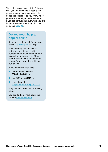This guide looks long, but don't be put off – you will only need to read a few pages at each stage. We have colourcoded the sections, so you know where you are and what you have to do next. If you are confused about where you are in the process or what might happen next, see [page 15.](#page-14-0)

### **Do you need help to appeal online**

If you need help to ask for an appeal online [We Are Digital](https://www.we-are-digital.co.uk/hmcts-user) will help.

They can help with access to a device, or data, or provide guidance and reassurance on how to use the online service. (They cannot tell you what to say on the appeal form – read this guide for our advice).

If you would like their help

- **•** phone the helpline on 03300 16 00 51, or
- text FORM to 60777, or
- email them at [support@we-are-digital.co.uk](mailto:support%40we-are-digital.co.uk?subject=)

They will respond within 2 working days.

You can find out more about the service [on their website.](https://www.we-are-digital.co.uk/hmcts-user)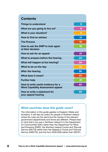| <b>Things to understand</b>                                                    | 5               |
|--------------------------------------------------------------------------------|-----------------|
| What are you going to live on?                                                 | 8               |
| <b>What is your situation?</b>                                                 | 9               |
| How to find an adviser                                                         | 13              |
| <b>The Process</b>                                                             | 15              |
| How to ask the DWP to look again<br>at their decision                          | 18              |
| How to ask for an appeal                                                       | 21              |
| What to prepare before the hearing                                             | $\overline{24}$ |
| What will happen at the hearing?                                               | 30              |
| What to do on the day                                                          | 33              |
| <b>After the hearing</b>                                                       | 36              |
| What does it mean?                                                             | 37              |
| <b>Further help</b>                                                            | 41              |
| How to write useful evidence for a<br><b>Work Capability Assessment appeal</b> | 42              |
| How to write a statement for<br>your appeal hearing                            | 49              |

### **What countries does this guide cover?**

The information in this guide applies to England, Wales and Scotland. It will also be useful for people in Northern Ireland where the rules are the same but the names of the relevant government departments and forms are different. Please bear in mind that if you are in Northern Ireland it is the Department for Communities (DfC) rather than the Department for Work and Pensions (DWP), the Northern Ireland Courts and Tribunal Service (NICTS) rather than Her Majesty's Courts and Tribunal Service (HMCTS), and the form NOA1(SS) rather than SSCS1.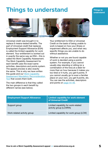# <span id="page-4-0"></span>**Things to understand Things to understand**



Universal credit was brought in to replace 6 means-tested benefits. The part of Universal credit that replaces Employment Support Allowance (ESA) is called the limited capability for work element. Your entitlement is worked out in exactly the same way as ESA – this is called the Work Capability Assessment. The Work Capability Assessment for each benefit uses the exact same activities, descriptors and points system. The appeal process is also exactly the same. This is why we have written this guide and our [Work Capability](https://www.advicenow.org.uk/wca-mr-tool)  [Assessment Mandatory Reconsideration](https://www.advicenow.org.uk/wca-mr-tool)  [Tool](https://www.advicenow.org.uk/wca-mr-tool) that covers them both.

The main difference is that they called the two groups in each benefit by different names (see below).

Your entitlement to ESA or Universal Credit on the basis of being unable to work is based on how your illness or impairment affects you, and what very specific things you are unable to do without assistance.

Whether or not you are found capable of work is decided using a points system. For example, if you cannot usually stay standing or sitting (or a combination of the two) at a desk for more than an hour because it makes you too tired or it hurts, you get 6 points. If you cannot usually go to even a familiar place on your own, you get 9 points, etc. You can see the activities, descriptors and points on [page 44-48](#page-43-0).

| <b>Employment Support Allowance</b> | <b>Limited capability for work element</b><br>of Universal Credit |
|-------------------------------------|-------------------------------------------------------------------|
| Support group                       | Limited capability for work-related<br>activity group (LCWRA)     |
| Work-related activity group         | Limited capability for work group (LCW)                           |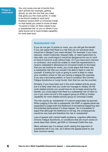<span id="page-5-0"></span>**Things to understand**

You only score one set of points from each activity (for example, getting about), so use the one that you meet that gives you the most points. In order to be found unable to work (and therefore receive ESA or Universal Credit on that basis) you need to score at least 15 points in total. *Or* there needs to be a 'substantial risk' to you or others if you were found not to have limited capability for work (see box).

### **Substantial risk**

If you do not get 15 points or more, you can still get the benefit if you can argue that there is a risk that you (or someone else) would be in danger if you were refused. For example, if you have seizures, violent outbursts, frequent falls, or need supervision to stay safe, you could argue it would be dangerous for you to work or have to travel to a job without help. Or if you have poor memory or confusion, and would be unable to meet the requirements to receive Jobseeker's Allowance (or Universal Credit on the basis that you are looking for work), you could argue that there was a substantial risk that you wouldn't be able to feed or care for yourself. If looking for a job or going to work is likely to make your condition worse or risk you having a relapse (for example, if you are a recovering addict, or have a condition like Chronic Fatigue Syndrome or Long Covid), then that too can be counted.

Similarly, if you have been put in the work-related activity group but it is fairly clear that you could not manage to reliably do the work-related activity you would have to do to keep receiving the benefit, you could argue that there is a substantial risk of harm to you if you were not put in the support group (in ESA) or limited capability for work-related activity group (in Universal Credit).

The risk counts as 'substantial' if it cannot reasonably be ignored. When judging if the risk is substantial, the DWP or appeal panel are supposed to judge both the likelihood of something happening and the potential seriousness if it does happen. So it is possible to argue that although the likelihood is not big, the consequences would be very bad and therefore the risk is 'substantial'.

Lots of people with mental health problems, cognitive difficulties, Chronic Fatigue Syndrome, or conditions that are much worse on some days than others, get ESA or Universal Credit this way.

Many advisers say it is always worth raising the argument of substantial risk if you can, as it allows the appeal panel to use their common sense.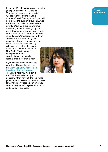If you get 15 points on any one indicator (except in activities 8, 10 and 15 – 'Finding your way and being safe', 'Consciousness during waking moments', and 'Getting about'), you will be put into the support group in ESA or the limited capability for work-related activity (LCWRA) group in Universal Credit. If you are in these groups, you get extra money to support your higher needs, and you don't need to do 'workrelated activity' (meet regularly with an adviser at the Jobcentre, go to occasional training courses, and do various tasks that the DWP say will make you better able to get a job later). If you are entitled to New Style ESA (because you have paid enough NI contributions) you can also receive it for more than a year.

If you haven't checked what rate you should be getting yet, use our [Work Capability Assessment](https://www.advicenow.org.uk/wca-mr-tool)  [Mandatory Reconsideration](https://www.advicenow.org.uk/wca-mr-tool) 

[Tool.](https://www.advicenow.org.uk/wca-mr-tool) It will help you work out if the DWP has made the right

decision. If they haven't, the tool helps you to write a really good letter that asks for a mandatory reconsideration (if you need to do that before you can appeal) and sets out your case.



**Things to understand**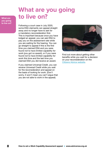# <span id="page-7-0"></span>**What are you going**  What are **to live on?**

**you going to live on?**

Following a court case in July 2020, some ESA claimants can appeal straight away and no longer have to ask for a mandatory reconsideration first. This is important because once you have lodged an appeal, you can ask ESA to pay you on the assessment rate while you are waiting for the hearing. You can go straight to appeal if this is the first time you claimed ESA and you were found not to have limited capability for work (you got no award), or if you were found not to have limited capability for work this time and the last time you claimed ESA you did receive an award.

If you claimed Universal Credit, you can receive Universal Credit while you wait for the reconsideration and appeal on the basis of looking for work. (Don't worry, it won't mean you can't argue that you are not able to work in the appeal).



Find out more about getting other benefits while you wait for a decision on your reconsideration on the [Citizens Advice website](https://www.citizensadvice.org.uk/benefits/sick-or-disabled-people-and-carers/employment-and-support-allowance/problems-with-esa/esa-appealing/).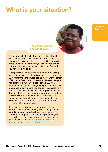# <span id="page-8-0"></span>**What is your situation?**

**What is your situation?**

# **They said I was well enough to work**

Some people in this situation feel like they should just give up, others feel absolutely furious. The DWP often don't apply the criteria correctly. Challenging the decision can take a long time, but everybody should get what the law says they are entitled to. Remember you have nothing to lose.

Most people in this situation have to start by asking for a mandatory reconsideration, but if you applied for ESA (rather than the limited capability for work element of Universal Credit) and it was either the first time you had claimed, or when you last claimed ESA you received an award, you can go straight to appeal. This is very useful as it means you can get the assessment rate of ESA while you wait for your appeal hearing and it means that if you win your appeal you will be able to stay on ESA rather than move to Universal Credit (which for most people pays a lower amount). See How to ask the DWP to look again at their decision on [page 18](#page-17-0) for more details.

If you claimed Universal Credit or have claimed ESA before and the last time you were not given an award (and either you didn't challenge it or you did not manage to get the decision changed) then you do need to ask for a mandatory reconsideration first. Start by using our [Work Capability Assessment](https://www.advicenow.org.uk/wca-mr-tool)  [Mandatory Reconsideration Tool.](https://www.advicenow.org.uk/wca-mr-tool)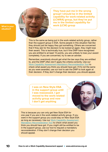**What is your** 

**situation?**

**They have put me in the wrong group! I should be in the limited capability for work-related activity (LCWRA) group, but they've put me in the limited capability for work (LCW) group**

This is the same as being put in the work-related activity group, rather than the support group in ESA. Some people in this situation feel like they should just be happy they got something. Others are concerned that if they ask for the decision to be looked at again, they might lose their award. This is technically true, but if the DWP have recognised you are entitled to at least 15 points, you are unlikely to lose your award completely. If you are concerned, try to see an adviser.

Remember, everybody should get what the law says they are entitled to, and the DWP often don't apply the criteria correctly. Use our [Work Capability Assessment Mandatory Reconsideration Tool](https://www.advicenow.org.uk/wca-mr-tool) to check what award you think you should have got. If it's not the same as you were awarded, use our tool to ask the DWP to look again at their decision. If they don't change their decision, you should appeal.

**I was on New Style ESA in the support group until I was reassessed. I got moved to the work-related activity group and now I don't get anything**



This is because you can only get New Style ESA for one year if you are in the work-related activity group. If you were in the support group you could stay on New Style ESA as long as necessary. Use our [Work Capability Assessment](https://www.advicenow.org.uk/wca-mr-tool)  [Mandatory Reconsideration Tool](https://www.advicenow.org.uk/wca-mr-tool) to check what award you think you should have got. If you might still be entitled to be in the support group, use our tool to request a mandatory reconsideration. If they don't change their decision you should appeal.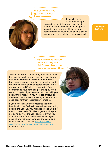**My condition has got worse since I was assessed**

If your illness or impairment has got



worse since the date of your decision, it cannot be taken into account in an appeal. Instead, if you now meet higher scoring descriptors you should make a new claim or ask for your current claim to be reassessed.

**What is your situation?**

**My claim was closed because they say I didn't send back the questionnaire on time**

You should ask for a mandatory reconsideration of the decision to close your claim and explain what happened. Maybe you did send the form back but it went missing, or maybe you failed to send the form back but you had a good reason. If the reason for your difficulties returning the form is connected to your condition (for example, if you were in hospital, if you are unable to deal with your post without help, or if you were too anxious or distressed to complete the form) you have a very good case for them to reinstate your claim.

If you don't think you ever received the form, bear in mind the DWP will have evidence of having posted it to you. So, you will need to explain either that you have had difficulties in general with post not being delivered to your address, or that you didn't know the form had arrived because you need help to manage your post, and you didn't receive that help. Use our [Work Capability](https://www.advicenow.org.uk/wca-mr-tool)  [Assessment Mandatory Reconsideration Tool](https://www.advicenow.org.uk/wca-mr-tool) to write the letter.

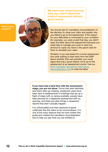**My claim was closed because they say I didn't attend the medical assessment without good reason**

**What is your situation?**



Similarly, if you had asked for a home assessment and were waiting to hear back from the DWP about whether that was possible, you could argue that was a good reason not to go to the assessment at an assessment centre. Use our [Work Capability Assessment Mandatory](https://www.advicenow.org.uk/wca-mr-tool)  [Reconsideration Tool](https://www.advicenow.org.uk/wca-mr-tool) to write the letter.

If you have had a hard time with the assessment stage, you are not alone. Forms that were definitely sent back often go missing, wheelchair users have been sent to assessments in buildings that are up a flight of steps with no ramps available, people have been phoned for a telephone assessment with no warning, and there are often things in assessors' reports that didn't actually happen.

It is unfortunately true that instances of gross unfairness like this seem to be commonplace. It is one of the many reasons that we have written this guide and created the mandatory reconsideration tool to help you get what you are entitled to.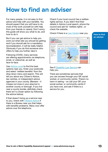# <span id="page-12-0"></span>**How to find an adviser**

For many people, it is not easy to find advice and help with your benefits. You should expect that you will have to do most of the work yourself (or with help from your friends or carers). Don't worry, this guide will show you what to do, and how to do it.

But if you can get advice to help you work out what rate you should be getting and if you should ask for a mandatory reconsideration, it will be really helpful. Obviously if you do find someone who offers to help you further, take it.

Following COVID, many services are offering appointments via telephone, email, or videochat, as well as face-to-face.

Use [Advice Local](https://advicelocal.uk/) to find the best options near you. Enter your postcode and select 'welfare benefits' from the drop down menu and search. This will tell you about any Citizen's Advice, law centres, or independent advice agencies in your county. (Beware – it misses out ones in your area but in another county or borough. If you live near a county border, definitely check there isn't a closer option by following the advice below).

If that doesn't bring up a service near to you, check with [Citizens Advice](http://www.citizensadvice.org.uk/about-us/how-we-provide-advice/advice/search-for-your-local-citizens-advice/) if there is a Bureau near you that helps with benefits problems. Many now offer advice over the telephone.

Check if your local council has a welfare rights service. If you didn't find their details in Advice Local search, phone the council and ask for 'welfare rights', or check the website.

Check if there is a [Law Centre](http://www.lawcentres.org.uk/about-law-centres/law-centres-on-google-maps/geographically) near you.



See if **Disability Law Service** can help you.

There are sometimes services that you can access through your GP, social worker, or community centre. There's no harm in asking – so call your GP, your social worker, or community centre if you have one, and ask if there is a service for you.

**How to find an adviser**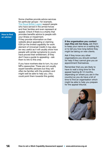**How to find an adviser**

Some charities provide advice services for particular groups – for example, [The Royal British Legion](https://www.britishlegion.org.uk/get-support/finance/help-with-disability-benefits/) support people who have served in the armed forces and their families and even represent at appeal. Check if there is a charity that provides benefits advice to people with your illness or impairment. If they provide information on their website about appealing or claiming ESA (or the limited capability for work element of Universal Credit) it may also be very useful as it will usually show how people with similar symptoms to yours have proved their entitlement. (If they don't have a guide to appealing – ask them to link to this one).

If you have nowhere else to turn, try your MPs caseworker. These are not usually expert benefits advisers but they will often be familiar with the problem and might well be able to help you. (You could point them towards this guide).

If the organisation you contact says they are too busy, ask them to keep your name on a waiting list, or to tell you how long before they might be taking on new clients.

Ask if they know any other organisations you should contact for help if they cannot give you an appointment themselves.

Remember that you are likely to have to wait a long time for the appeal hearing (6-12 months, depending on where you are in the country) so you do have a bit of time to find an organisation which might be able to help you prepare for the appeal tribunal.

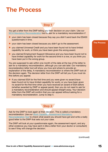# <span id="page-14-0"></span>**The Process**

### **Step 1**

You get a letter from the DWP telling you their decision on your claim. Use our [WCA Mandatory Reconsideration](https://www.advicenow.org.uk/wca-mr-tool) tool to ask for a mandatory reconsideration if

- your claim has been closed because they say you didn't send back the ESA50 questionnaire in time.
- your claim has been closed because you didn't go to the assessment.
- you claimed Universal Credit and you have been found not to have limited capability for work, or think you have been given the wrong award.
- you claimed Employment Support Allowance and you have been found not to have limited capability for work for the second time in a row, or you think you have been put in the wrong group.

You are supposed to ask within one month of the date at the top of the letter to ask for a mandatory reconsideration, although you can ask later. Our mandatory reconsideration letter tool will show you how and where to provide an explanation of the delay. A mandatory reconsideration is where the DWP look at the decision again. The decision letter from the DWP will tell you if you must do this before you appeal.

• If you claimed ESA for the first time and you were given no award (have been found not to have limited capability for work), or you have been given no award for the first time when you have received an award of ESA before (whether awarded by DWP or appeal panel), then you do not need to ask for a mandatory reconsideration and should appeal straight away. Your decision letter from the DWP will confirm that you can appeal without asking for a mandatory reconsideration. Jump to step 4.

# **Step 2**

Ask for the DWP to look again at their decision. This is called a mandatory reconsideration. Use our [Work Capability Assessment Mandatory](https://www.advicenow.org.uk/wca-mr-tool)  [Reconsideration Tool](https://www.advicenow.org.uk/wca-mr-tool) to check what award you should have got and write a really good letter to the DWP that sets out your case.

The DWP will look at your questionnaire again, the assessment report, and any other evidence you may have sent in (like a letter from your doctor or consultant) to see if they will change the decision.

(continued)

**The Process**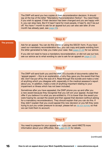# **Step 3**

The DWP will send you two copies of their reconsideration decision. It should say at the top of the letter "Mandatory Reconsideration Notice". You need these if you wish to appeal. If their decision has been changed and you are happy with it, you can stop here. But if it hasn't (and for most people, it hasn't), don't be put off. You have 1 month to ask for an appeal but you can also ask later. (If one month has already past, see [page 20](#page-19-0)).

#### **The process**

**Step 4**

Ask for an appeal. You can do this online or using the SSCS1 form. If you have used our mandatory reconsideration tool, you can copy and paste wording from the letter generated to help you make your case. See [page 21-23](#page-20-0) for our advice.

If you did not need to have a mandatory reconsideration, or did not use our tool, see our advice as to what wording to use to ask for an appeal on [page 21-23](#page-20-0).

# **Step 5**

The DWP will send both you and the HMCTS a bundle of documents called the 'appeal papers' – this is an explanation of why they gave you the award that they did. Don't be put off by the size of it. Read through this bundle and make a note of anything which you disagree with, especially in the medical assessor's report about you. In addition, make a note of anything important relating to your impairment or illness which has not been included.

Sometimes after you have appealed, the DWP phone you up and offer you a new award because they recognise that you will win your appeal. Accept their offer if you believe it is what you are entitled to. If it is lower than the award you were hoping for, accept the award and then appeal that decision (without asking for a mandatory reconsideration). They should explain that you can do this. If they didn't explain that you could appeal this new decision or you felt they were trying to put you under pressure to accept, please tell us [via our survey](https://www.surveymonkey.co.uk/r/BVTZPG3) so that we can hold them to account.

# **Step 6**

You need to prepare for your appeal and, if you can, send HMCTS more information about your difficulties. See [page 24-29](#page-23-0) for details.

(continued)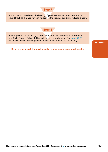# **Step 7**

You will be told the date of the hearing. If you have any further evidence about your difficulties that you haven't yet sent to the tribunal, send it now. Keep a copy.

# **Step 8**

Your appeal will be heard by an independent panel, called a Social Security and Child Support Tribunal. They will make a new decision. See [page 30-35](#page-29-0) for details of what will happen and advice about what to do on the day.

If you are successful, you will usually receive your money in 4-6 weeks.

**The Process**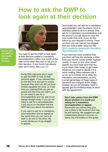# <span id="page-17-0"></span>**How to ask the DWP to look again at their decision**



**How to ask the DWP to look again at their decision**

You need to ask the DWP to look again at their decision (called a 'mandatory reconsideration') within one month of the date on the letter they sent to tell you of their decision. If one month has already past, don't worry. See [page 20.](#page-19-0)

Some ESA claimants don't need to ask the DWP to look at their decision again. If you claimed ESA for the first time and got no award because they said you did not have limited capability for work, or if last time you claimed ESA you got an award and this time you didn't, you do not need to ask for a reconsideration and can ask for an appeal straight away. If you do not need to ask for a reconsideration, it will say so on the letter that the DWP sent you about the decision.

If you want to ask for a mandatory reconsideration *and* an appeal at the same time you can, but it is best to do one or the other. We would advise you to go straight to appeal.

Technically you can ask for a mandatory reconsideration over the phone, but it is definitely better to do it in writing. Only ask for a mandatory reconsideration over the phone if you are about to miss the one-month time-limit. If you do this, follow up your request in writing. There is a form you can use but we suggest that you write a letter using our free [Work Capability Assessment Mandatory](https://www.advicenow.org.uk/wca-mr-tool)  [Reconsideration Tool.](https://www.advicenow.org.uk/wca-mr-tool)

If you have any more evidence that you think will help (for example, a letter from your doctor, social worker, support worker, or carer, or any other recent reports you have had) send that too. If you need a few weeks to get more evidence, you need to decide if it is worth waiting. Many advisers say it is not, as it is better not to delay the mandatory reconsideration, as only a small percentage of these types of decisions are changed at this stage. Instead, as you will probably need to appeal, get the evidence ready to send with the appeal form.

Don't take advice from the DWP about whether it is worth you asking for a mandatory reconsideration or appeal.

Remember any advice they give you is likely to be incorrect and may be self-serving. We suggest you get independent advice if you can, or follow the information in this guide.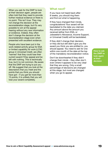When you ask for the DWP to look at their decision again, people are often told that they need to provide further medical evidence or there is no point. This isn't true. They may not change the decision at the reconsideration stage, but it's very possible to win at the appeal hearing without any new information or evidence. Indeed, they often don't change the decision at the reconsideration stage even when presented with excellent evidence.

People who have been put in the work-related activity group for ESA or limited capability for work (LCW) group in Universal Credit, are often 'warned' that they could lose their current award if they appeal and be left with nothing. This is technically true, but it is not common. Be aware that the DWP are trying to put you off. We suggest that you look at the descriptors that you meet and the points that you think you should have got – if you get far more than 15 points, it is unlikely that you will lose your award completely.

### **What next?**

If you have not heard back after 8 weeks, you should ring them and find out what is happening.

If they have changed their minds, congratulations! Your award will be backdated to the date you claimed. Any amount above the amount you received (either from ESA, or Jobseeker's Allowance, Income Support, or Universal Credit) will be backdated.

If they didn't change their decision, or they did but still didn't give you the award you think you are entitled to, you should appeal. You need to ask for one within one month of the date at the top of the mandatory reconsideration notice.

Don't be downhearted if they didn't change their minds – they often don't, even where it appears to be very clear that they are wrong. Only a small percentage of decisions are changed at this stage, but most are changed when you go to appeal.

**How to ask the DWP to look again at their decision**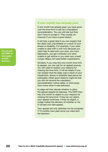**How to ask the DWP to look again at their decision**

# <span id="page-19-0"></span>**If one month has already past**

If one month has already past, you have gone over the time-limit to ask for a mandatory reconsideration. You can still ask but they don't have to accept it. They usually do however if you have a good reason.

It will help a great deal if you can explain that the delay was unavoidable or a result of your illness or disability. For example, if you were unable to deal with it until now because you need help to deal with your post, you have depression, you get confused, you were unable to get advice or you were very unwell. Longer delays will need better explanations.

Similarly, if you miss the one-month time-limit to appeal, you can ask for an appeal anyway. You will need to explain your reasons for missing the time-limit. It will be helpful if you can explain that the delay was a result of your impairment, illness or disability (see above for examples). Other good reasons might be that you did not receive the mandatory reconsideration notice safely, or were away from home when it was delivered.

A judge will then decide whether to allow the appeal despite its lateness. The DWP then has one month to object to your reasons for missing the time-limit. If they do not object, your appeal continues. If they do object, a Judge makes the decision of whether or not to accept your late appeal.

Your appeal will only definitely not be accepted if 13 months have past since you were sent the decision.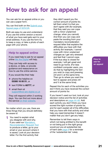# <span id="page-20-0"></span>**How to ask for an appeal**

You can ask for an appeal online or you can use a paper form.

#### You can find both on the Submit your [Appeal page of GOV.UK.](https://www.gov.uk/appeal-benefit-decision/submit-appeal)

Both are easy-to-use and understand. If you use the online version a record of what you have said gets sent to your email address. If you use the form try to keep a copy, or take a photo of each page with your phone.

# **Help to appeal online**

If you need help to ask for an appeal online [We Are Digital](https://www.we-are-digital.co.uk/hmcts-user) will help.

They can help with access to a device, or data, or provide guidance and reassurance on how to use the online service.

If you would like their help

- phone the helpline on 03300 16 00 51, or
- text FORM to 60777, or
- email them at [support@we-are-digital.co.uk](mailto:support%40we-are-digital.co.uk?subject=)

They will respond within 2 working days. You can find out more about the service [on their website](https://www.we-are-digital.co.uk/hmcts-user).

No matter which you use, there are three things that you should definitely be aware of.

You need to explain what you disagree with and why. If you used our [Mandatory](https://www.advicenow.org.uk/wca-mr-tool)  [Reconsideration Request Tool](https://www.advicenow.org.uk/wca-mr-tool) to produce a letter, go to your email or your account where it is saved. Look at your decision letter. For the first activity that

they didn't award you the correct amount of points for, tell them what it is that you don't agree with (for example, that they said you can cope with a minor unplanned change, when you cannot). And then you can copy and paste the wording from your mandatory reconsideration request letter that explains the difficulties you have with that activity (for example, I cannot cope with minor unplanned changes as I get very stressed and feel that I cannot cope. If the bus stop is closed for example, I will get upset and need to go home. (For less confident computer users, you do that by highlighting the text you wish to copy and pressing ctrl and C at the same time. Then go to where you want the text to appear and press ctrl and V at the same time).

Repeat this for each of the activities you don't think you have received the correct amount of points for.

If you haven't used our tool, look at your decision notice and the list of activities and descriptors on [page 44-48](#page-43-0). Add each activity you don't think you have scored the right number of points for, and for each explain all of the difficulties that you have with that activity and what help you need (remember it doesn't matter that you don't get any help).

Remember to tell them ways in which not being entitled to the benefit or not being put in the right group would put you at substantial risk of harm (see [page 6](#page-5-0) for a reminder of the 'substantial risk' rules).

**How to ask for an appeal**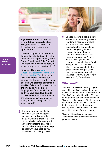<span id="page-21-0"></span>

If you did not need to ask for a mandatory reconsideration first, you will also need to add the following wording to your appeal form:

"I wish to appeal the decision that I do not have limited capability for work and can appeal directly to the Social Security and Child Support Tribunal without having to apply for a mandatory reconsideration first."

You can still use our [Work](https://www.advicenow.org.uk/wca-mr-tool)  [Capability Assessment Mandatory](https://www.advicenow.org.uk/wca-mr-tool)  [Reconsideration Tool](https://www.advicenow.org.uk/wca-mr-tool) to help you with the wording that sets out which activities and descriptors you should have got more points for if you like. Select the fourth option on the first page 'You claimed Employment Support Allowance and you have been found not to have limited capability for work for the second time in a row, or you think you have been given the wrong award.'

2 If your appeal isn't within the time limit, you should appeal anyway but explain why the delay was unavoidable or a result of your disability (for example, if you were unable to deal with it until now because you need help to deal with your post, or you have been particularly unwell).

**3** Choose to go to a hearing. You will be asked whether you want to attend a hearing or whether you want the case to be decided on the papers alone. Almost everybody wants to choose the paper hearing because it seems less scary. However, you are *much* more likely to win if you have a chance to speak to them. Don't worry, it won't be nearly as frightening as you might think. Since the beginning of Covid many hearings are happening via video – so you may not have to actually 'go' anywhere.

# **What next?**

The HMCTS will send a copy of your appeal to the DWP and ask them to explain how they came to their decision. The DWP must do this within 28 days, although they can ask for an extension. You will receive a copy of their response in your appeal bundle. Don't be put off by the size of it. It is often around 80-150 pages. Keep it safe. You will need it to prepare for your hearing.

You should start preparing now. The next section explains everything you need to do.

**How to ask for an appeal**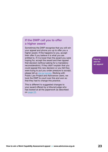# **If the DWP call you to offer a higher award**

Sometimes the DWP recognise that you will win your appeal and phone you up to offer you a higher award. If this happens to you, accept their offer if you believe it is what you are entitled to. If it is lower than the award you were hoping for, accept the award and then appeal that decision (without asking for a mandatory reconsideration). If they didn't explain that you could appeal this new decision or you felt they were trying to put you under pressure to accept, please tell us [via our survey.](https://www.surveymonkey.co.uk/r/BVTZPG3) Working with Public Law Project and Advicenow users, we took the DWP to court over this and won so that they had to change this practice.

This is different to suggested changes to your award offered by a tribunal judge who has looked at all the paperwork as described on [page 22.](#page-21-0)

**How to ask for an appeal**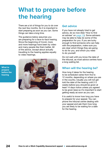# <span id="page-23-0"></span>**What to prepare before the hearing**

There are a lot of things for you to do over the next few months. So it is important to start preparing as soon as you can. Some things can take a long time.

The guidance below assumes you are preparing for a face-to-face hearing. Since the beginning of Covid, more and more hearings have been by video and many people like them better. All of the advice, except about actually travelling to the hearing applies equally to video hearings.

**What to prepare before the hearing**



### **Get advice**

If you have not already tried to get advice, do so now (See 'How to find an adviser' on [page 13](#page-12-0)). Some advisers may be able to help do some of this preparation for you. If you are lucky enough to find someone who can help with the preparation, make sure you are clear which things they are going to do for you, and which you need to do yourself.

Do not wait until you know the date of the tribunal, as most advice centres have a long waiting list.

# **When will the hearing be?**

How long it takes for the hearing to be scheduled varies from five to 12 months, depending on where you are in the country. Usually you will not get told the date of the hearing until 2-3 weeks before (you should be given at least 14 days notice unless you agreed to be given less) so it's important to start getting ready as soon as you can.

It is useful to know how long you have to prepare for your appeal. You can phone the tribunal centre dealing with your appeal and ask them how long you are likely to be waiting for a date for the hearing.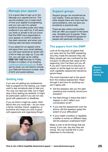### <span id="page-24-0"></span>**Manage your appeal**

It is a good idea to sign up to the Manage your appeal service. This service enables you to keep track of how your appeal is progressing, and you can use it to upload evidence (including audio and video evidence if you want to). It will send you texts or emails to let you know that the DWP have responded to your appeal, to confirm evidence has been received, and when your hearing date has been scheduled.

If you asked for an appeal online and gave them your email address, you will have received an email with a link to help you sign up. If you did not, you can sign up by calling 0300 123 1142 Monday to Friday, 8:30am to 5:00pm or by emailing [contactsscs@justice.gov.uk.](mailto:contactsscs%40justice.gov.uk?subject=) If you ask by email, you will need to include your National Insurance number, date of birth and postal address.

# **Getting help**

If you are not getting any professional help to prepare for the hearing, you might want to ask somebody else to help you. You may not need any help, but it might stop it from feeling too stressful. It might be particularly useful if you are not very good with paperwork or deadlines.

If you do think it might be useful, think about who you could ask – do you have a family member, friend, neighbour, or someone who helps you who is good with paperwork and organising things?



### **Support groups**

Support groups can sometimes be very helpful. There are likely to be other people there who have had the same problems, who can give you emotional or practical help.

There are also online communities that can offer you support in the same way. Yourable.com is popular. There are also lots of Facebook groups for people with particular conditions.

### **The papers from the DWP**

Look at the big pack of papers that you were sent by the DWP explaining why they made the decision they did. Many people get very confused by the inclusion of relevant test cases at the beginning. Don't let them put you off. If you don't have time to become an expert on all the legal ins and outs of work capability assessment decisions, ignore these.

The most important part is the report from the medical assessment. Read through it and look for anything you don't agree with.

- Did the assessor ask you the right questions and correctly record your answers?
- Are there things in there that didn't happen or don't reflect your conversation at all?
- **•** If you had the assessment over the phone, did the assessor grasp the extent of your difficulties?
- **•** If your health condition or disability is better or worse on different days, did the assessor understand that?

Make a note of all the things that are wrong. If you can, say why they are wrong. You can include this in your statement to the tribunal.

**What to prepare before the hearing**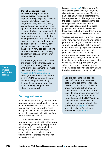**What to prepare before the hearing**

Don't be shocked if the assessment report is full of inaccuracies. This seems to happen horribly frequently. We have heard of completely incorrect diagnoses being recorded, easily verifiable physical conditions being ignored or incorrectly recorded, and records of whole conversations that never occurred. If you find this has happened to you, you are right to be angry about it  $-$  it is terrible  $-$  but don't take it personally. It happens to a lot of people. However, don't get too focused on it. Appeal panels know how bad assessment reports often are and so it is easy to get them set aside in favour of other evidence.

If you are angry about it and have the energy for two things, put it in a complaint to the organisation who did the assessment. For most claimants, that is [Health](https://www.chdauk.co.uk/contact-us)  [Assessment Advisory Service](https://www.chdauk.co.uk/contact-us), although there are two centres run by the DWP themselves. If you only

have the energy for one thing though, focus on your appeal as that is the only thing that will change your award.

# **Getting evidence**

For most people, the thing that is of most help is written evidence from their doctor or other professionals. If you have a social worker, community psychiatric nurse, occupational therapist, support worker, or any other professional, evidence from them will be very useful too.

The most useful evidence will explain how your illness or disability affects you, and the help you need (paying particular attention to the descriptors that you meet). This is unusual and really complicated, so your doctor/social worker or other professional may not understand that.

Look at [page 42-48.](#page-41-0) This is a guide for your doctor, social worker, or anybody else writing evidence for you. Mark the particular activities and descriptors you believe you meet on this page, and write the date of the DWP decision in the box. When you ask them for evidence to support your appeal, give them these pages and ask for them to comment on those specifically. It will help them to write evidence that will be really helpful to you.

The best evidence will come from people who know you well and who understand your situation. If your GP does not know you well, you should still ask him or her for evidence, but try to get evidence from other professionals too. This could be your social worker or community psychiatric nurse, a paid support worker, a personal assistant, your occupational therapist, somebody who works at a day centre you go to, support staff at your school or college, or somebody else. You could also get evidence from a carer, friend or relative who helps you a lot.

You are appealing the decision the DWP made on a particular date (on the top of the letter). You need to prove how your illness or impairment was at that time, not how it is now. The tribunal cannot take into account any improvement or worsening of your condition since the date of the DWP's original decision. Write the date of the decision you are appealing in the purple box on [page 43,](#page-42-0) before you ask anybody for evidence. Then show them page 42.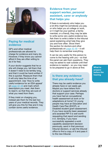

# **Paying for medical evidence**

GP's and other medical professionals are allowed to charge for evidence and many do. However, if they know you cannot afford it they are often willing to do it for free.

If your doctor suggests that he or she will charge you, tell them that it doesn't need to be terribly long, and that it could be hand-written if this is quicker. Reassure them that it will only take the time of an appointment. Use 'How to write useful evidence for an ESA appeal' on [page 42-48](#page-41-0) and mark which descriptors you meet. Ask them to read it, so that they are sure of what you need from them.

If they insist on charging you, instead ask them for the last two years of your medical records. They will give you this for free and it may contain some useful evidence.

# **Evidence from your support worker, personal assistant, carer or anybody that helps you**

If there is somebody who helps you a lot (this might be somebody you pay, or who helps you at college or work, or it might be your partner, a family member, or a friend), they may be able to write some very useful evidence too. Ask them to write a letter to the tribunal panel explaining what help they give you and how often. Show them the section for doctors and other professionals on [page 42-48](#page-41-0) – it will help them to remember everything.

It can be very useful for this person to come to the hearing with you – so that the panel can ask them questions. They may be asked to wait outside until their evidence is needed – so you may need to be prepared to go in alone at first.

# **Is there any evidence that you already have?**

There may be useful evidence you already have or can easily get. Maybe you have letters from doctors or support services already that support your case. Perhaps you have had an occupational health assessment at work or for adaptations at home? Or young people may have an Education and Health Care Plan (EHCP), or Disabled student grant assessment. If you have recently been assessed and awarded PIP it is well worth requesting that report and sending it in. Similarly, if you have successfully appealed a work capability assessment decision previously, send in that previous tribunal decision, or ask the tribunal office to find a copy of it and pass it to the new tribunal.

**What to prepare before the hearing**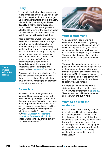# **Diary**

You should think about keeping a diary of the difficulties and help you need each day. It will help the tribunal panel to get a proper understanding of your situation. It is particularly helpful if your illness or disability is not the same every day. It also needs to reflect how you were affected at the time of the decision about your benefit, so is of most use if your health has not got worse since then.

Keep a diary for a week (or if you have a condition which fluctuates, a longer period will be helpful). It can be very brief. For example – 'Monday – Very confused today. Marie needed to remind and prompt me to do simple everyday tasks, and not to get distracted. We went to the shops and I needed help to cross the road safely'. Include everything that is connected to the activities and descriptors that entitlement to these benefits are based on (see [page 44-48](#page-43-0) for the list).

**What to prepare before the hearing**

If you get help from somebody and find this sort of thing hard, you could ask them to keep a diary of the help they have given you instead (as an alternative to the letter – see above).

# **Be realistic**

Be realistic about what you want to happen. There is no point going to the tribunal hearing hoping to get put into the support group if you don't meet any of the required indicators. If you have seen or spoken to an adviser – did they tell you what rate they thought you might be entitled to? Have you used our [Work Capability Assessment](https://www.advicenow.org.uk/wca-mr-tool)  [Mandatory Reconsideration Tool](https://www.advicenow.org.uk/wca-mr-tool) to check what points you should get, by your own assessment?



# **Write a statement**

You should think about writing a statement for the tribunal, or getting a friend to help you. These can be very useful as they set out all your points, which means that you don't have to remember everything to say on the day. They also give the panel time to think about what you have said before they meet you.

They are also a useful way of telling the panel about mistakes and things left out of the assessment report. Stay away from accusing the assessor of lying as that is very difficult to prove. Instead give a flavour of the sort of things that are wrong and ask that the tribunal listen to other evidence instead.

For more advice on how to write a statement and what to put in it, see 'How to write a statement' on [page 49](#page-48-0). You can also read Mikaela's statement and see what she put in hers.

# **What to do with the evidence**

Read all the evidence through – does it reflect your difficulties accurately? If it doesn't, you don't have to send it to the panel. If you don't think the evidence is useful it may be worth going back to the person who wrote it and discussing it with them. Looking again at our guidance on how to write useful evidence on [page 44-48](#page-43-0), is there anything they can add to make it more useful?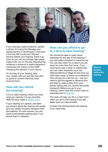

If you have got useful evidence, upload a photo of it using the Manage your appeal service or photocopy it and send it into the HM Courts and Tribunal Service before your hearing. Send it as soon as you can and always take paper copies with you on the day. (Sending the evidence in advance is useful because it maximises the chance of the DWP changing the decision in your favour.

On the day of your hearing, take your copies with you and ask the clerk or panel to confirm that they have received them.

# **How will you attend the hearing?**

If it is a video hearing, check you have what you need for it to go smoothly. HMCTS have made a [helpful video.](https://youtu.be/Sd0ldV2GKcY)

If your hearing is in person, the letter you receive about the hearing will usually give you details of public transport links and parking. At most venues, you can book an accessible parking spot if you phone them in advance.

# **How can you afford to go to a face-to-face hearing?**

You should be able to claim travel expenses for the day of the hearing if you use public transport or travel by car. You can also claim for a meal if you are away for more than five hours. If you have had to pay a carer or childminder you can claim expenses up to the National Minimum Wage for the time you have been away. In some circumstances, they will pay for a taxi for you – but you need to get this agreed in advance (you are likely to need a letter from your doctor saying that you cannot use public transport). Before you go to your hearing, check what the current rules on expenses are on [GOV.UK.](https://www.gov.uk/social-security-child-support-tribunal/what-happens-at-the-hearing)

The clerk will help you fill in a claim form when you go to the hearing if you ask. Make sure you take receipts.

Contact the tribunal before the hearing if you need help.

**What to prepare before the hearing**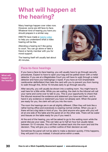# <span id="page-29-0"></span>**What will happen at the hearing?**

Many hearings happen over video now. However, some are still face-to-face. Whatever kind of hearing you have you should prepare in a similar way.

HMCTS have made a [helpful video](https://youtu.be/Sd0ldV2GKcY) to help you understand what a video hearing will be like.

Attending a hearing isn't like going to court. You can go alone or take a friend or family member with you for moral support.

The hearing itself will usually last about 40 minutes.



# **Face-to-face hearings**

If you have a face-to-face hearing, you will usually have to go through security procedures. Expect to have to open your bag and be patted down with a metal detector. If you are at a Magistrates Court you will have to walk through a metal detector and have your belongings x-rayed. If you have an ICD (implantable cardioverter defibrillator) then take the card with you to prevent you from having to walk through this. Arrive 10 minutes early to go through security.

After security, you will usually be shown into a waiting room. You might have to wait here for a little while. While you are waiting, the clerk to the tribunal will call your name and come over to talk to you. This is your opportunity to check that the tribunal received the evidence and statement you have sent them, and to hand in any evidence or statement you have not already sent. When the panel are ready for you, the clerk will call you into the room.

The room the hearings are in are all slightly different. Often they will look like a rather boring office and everybody is wearing normal clothes. When you go in there will be a big table in front of you. You (and anyone who goes with you) will sit at one side of the table and the panel sit on the other side. There will be water and tissues on the table ready for you if you need it.

At the end of the hearing, you will be asked to go to the waiting room while the panel discuss your case. This can take up to half an hour but usually takes between 10-15 minutes. You will then be asked back into the room and told the decision. They will give you a written outline of their decision as well.

Sometimes the panel will not be able to make a decision quickly. If this happens, they will post it to you instead. It should arrive within a week.

**What will happen at the hearing?**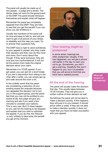The panel will usually be made up of two people – a judge and a doctor. The doctor does not work for the government or the DWP. The panel should introduce themselves and explain what will happen.

Remember the panel are completely separate from the DWP. They are here to see that you get the benefit if you can show you are entitled to it.

Usually the members of the panel will be nice and easy to talk to, and will just want to get a full picture of your illness or disability and the help you need. Try to answer their questions fully.

The DWP have a right to send somebody to your appeal to explain why they made their decision and they now do this more and more. Don't worry about this though. If they send someone, they are nice and non-confrontational. It will not be the person that made the original decision about your claim.

Remember it is YOUR appeal. If you get upset, you can ask for a short break. If you are in discomfort from sitting in the chair after a while, you can simply get up and walk around the room a bit.

In the unlikely event that the panel are considering a reduction of your existing award (for example because you appealed the decision not to put you in the support group, and the panel feel that you may not be entitled to any award at all), the judge will give you warning and ask if you want a few minutes to consider your options. This is very rare. But if it does happen to you, ask for the hearing to be stopped and explain that you wish to withdraw the appeal. If you do this, the Tribunal is very unlikely to take away the benefit you get at the moment.



# **Your hearing might be postponed**

In some areas, hearings are often postponed. Usually, if this has happened, you will get a phone call earlier in the day to warn you not to go. Sometimes, you don't get a warning. Hopefully this won't happen to you, but it is possible that you will arrive to find that you have had a wasted journey.

**At the end of the hearing**

The panel will usually make the decision that day. This usually takes between 10-20 minutes. They will give you a written outline of their decision as well.

Sometimes the panel will not be able to make a decision quickly. If this happens, they will post it to you instead. It should arrive within a week. If they are not able to make a decision quickly, it does not mean that you have not been successful with your appeal.

**What will happen at the hearing?**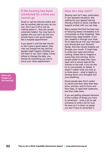# **If the hearing has been scheduled for a time you cannot go**

Email or call the tribunal centre and ask for another date as soon as you can. Don't put it off or just do nothing about it  $-$  they are usually extremely helpful. You may have to explain why you can't go and you should have a very good reason, like a hospital appointment.

If you leave it until the last minute or don't give a good reason, they may not change the day and the appeal might happen whether you are there or not. Don't delay. If they refuse to change the date, you should do everything you can to move your other appointment.

**What will happen at the hearing?**

### **How do I stay calm?**

Staying calm isn't easy, particularly in very stressful situations, like waiting for your appeal hearing. Having a friend or family member or support worker with you can help.

Many people find that the best way of reducing stress immediately is to concentrate on their breathing. Take several long, deep breaths. If you can, breathe in through your nose. Try to take the air into your stomach (you should feel your stomach rising). And then slowly breathe out through your mouth. It might help to close your eyes and picture nothing, others like to imagine a scene they find calming. Some people prefer to keep their eyes open and to slowly read all the notices on the wall. If you do this, try to concentrate on details. It doesn't matter what you look at or think about – what is helpful is slowing down your thoughts and your breathing.

Some people also find it useful to clench and then relax their fists, arms, and jaw; and to frown and then relax, or raise their eyebrows and then relax them.

If you are getting stressed because of the number of things you have to remember – write a list (or get someone to write a list for you). As soon as it is down on paper, you don't have to remember it.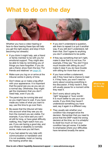# <span id="page-32-0"></span>**What to do on the day**



Whether you have a video hearing or face-to-face hearing these tips will help you get the right award, and stop it from becoming too stressful.

- **•** If you think it might help, ask a friend or family member to be with you for emotional support. They might also be able to help by reminding you of things you have forgotten. If you do ask a friend, show them the box 'For friends and relatives' on [page 35.](#page-34-0)
- Make sure you log on or arrive at the tribunal centre in plenty of time.
- Don't dress up or make a big effort with your appearance. It is important that the panel see you as you are on a normal day. Otherwise, they might get the impression that you don't need help, even if you do.
- The panel may be running late and so you might have to wait. If you have made any notes of what you want to say, use this time to go over them.
- Be aware that the tribunal will take into account what they see you do from the moment you are visible. For example, if you have said you can't sit still for long, or have great difficulty walking, they might watch how you are. If you are having a good day, and your illness or disability is normally worse, make sure you tell them.
- **•** If you had asked for any help with communication or translation and it is not available, insist on having the hearing another day.
- **•** If you don't understand a question, ask them to repeat it or put it another way. If you still don't understand, tell them that. Don't agree to anything you don't understand to be polite.
- $\bullet$  If they say something that isn't right, make it clear that it is not true. For example, if they say "You don't have much trouble with sitting do you?" make it clear if you do have trouble with sitting for more than an hour.
- **•** If you have written a statement, ask if they have had a chance to read it. If they have, you won't need to worry about covering everything in the discussion. If they haven't, they will usually pause for a moment while they read it.
- Don't worry about using the 'right' language or 'buzz words'. It is much better to use your own words. If you think they haven't understood something you have said, say it again in a different way.
- They usually ask whether your condition has changed since the decision. Remember that you need to prove that the DWP made the wrong decision *at the time*, so it is unhelpful to dwell too much on how your condition has got worse. It is better to emphasise where your difficulties have remained broadly the same.

**What to do on the day**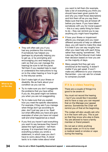

• They will often ask you if you had any problems this morning. If somebody has helped you (perhaps by physically helping you to get up, or by prompting and encouraging you and keeping you calm so that you can manage the hearing) be sure to tell the panel. Tell them if you needed help to read or understand the instructions to log on to the video hearing or how to get to the tribunal centre.

• Don't make light of your illness or disability. Be as frank about your condition as you can be.

• Try to make sure you don't exaggerate the problems that you have either. If you do, the panel might not believe you when you are not exaggerating.

- Try to make sure that you explain how you meet the specific descriptors. For example, if they ask if you manage when things don't go according to plan, don't just say yes or no. Spell out what difficulties you have and give examples of when you have not coped well and what happened as a result.
- If you find you haven't said everything you want to say because they haven't asked the right question – tell them anyway. It is important that you say everything (unless you wrote a statement, in which case you don't have to worry about this). A clever tactic is to make notes about what

you want to tell them (for example, take a list of everything you think you should have been given points for and why you meet those descriptors) and tick them off as you say them. Make sure that they are all ticked off before you leave. If you have taken somebody with you for moral support – this is a very useful thing for them to do – they can remind you to say anything you might have forgotten.

- If how your illness or impairment affects you changes and you need different amounts of help on different days, you will need to make this clear. It is best if you can say roughly how often you need help with each thing, rather than saying 'sometimes'. The rules say that the tribunal must make their decision based on how you are on the majority of days.
- Many people find they get very emotional at the hearing. It doesn't matter if you get upset. It won't make any difference to your chances. Remember – you can ask for a break to compose yourself.

# **If it is a video hearing**

There are a couple of things it is good to be aware of.

You must not record the hearing – but if you would like it recorded and to have a copy you can request that on the Manage your appeal service. Sometimes the Chair will remind you of that at the beginning.

The Judge will also usually ask who is in the room with you. This is just so that they know who else is there. You are allowed to have a family member or friend present.

Do not eat or drink anything (except water, or if it is to meet a medical need) or smoke or vape during the hearing.

**What to do on the day**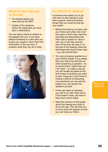# <span id="page-34-0"></span>**What to have with you on the day**

- The appeal papers you were sent by the DWP.
- Copies of the evidence and/or the statement you have sent in beforehand.

You can take a friend or relative to the appeal with you. If you have asked somebody to come with you to give you support, show them the information in the next box. It explains what they can do to help.



# **For friends or relatives**

If someone has asked you to go with them to the hearing to give them support, there are several things that you could do that are very useful.

- Before the hearing, sit down with your friend and write a list of all the ways in which they meet the activities and descriptors that their case is based on. Have it with you on the day and tick them off as they are said. If, at the end of the hearing, there are still things that haven't been said – you can remind them.
- You cannot answer questions on your friend's behalf. If you realise that your friend has left bits out when answering a question – try to remind them, rather than say it for them – or make a note as you will usually be asked at the end if there is anything you want to add. However, if your friend is finding it difficult or becoming very emotional you can ask the judge if you can answer the question yourself.
- **•** If they get upset or stressed you can try to calm them down. If this doesn't work, ask them if they want a short break.
- Read the sections of this quide about the hearing and what to do on the day. This will help you to know what will happen so that you can help your friend.

**What to do on the day**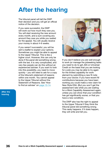# <span id="page-35-0"></span>**After the hearing**

The tribunal panel will tell the DWP their decision and you will get an official notice of the decision.

If you were successful, the DWP will work out how much they owe you. You will start receiving the new amount every month, and a sum covering any amount they owe you while you waited for the appeal. You will usually receive your money in about 4-6 weeks.

If you weren't successful, you will be sent a leaflet to explain your options. Sometimes you might be able to appeal to the Upper Tribunal. This is like a higher court. However, this can only be done if the panel did something wrong with the law. It is very complicated, and very few people can do this without an experienced adviser. If you want to look into this possibility, you need to move quickly – you will need to ask for a copy of the tribunal's statement of reasons within one month. You cannot appeal to the Upper Tribunal without the Statement of Reasons. See 'How to find an adviser' on [page 13-14](#page-12-0).

**After the hearing**



If you don't believe you are well enough to work (or manage the jobseeking tasks you need to do to get JSA or Universal Credit on the basis that you are looking for a job) you may be able to try again for the limited capability for work element by submitting a new fit note from your doctor. If you have recent NI contributions because you have been working you could make a new claim for New Style ESA. (But you won't get the assessment rate while you are waiting for a Work Capability Assessment again, unless you can show that your condition has got significantly worse, or that you have a new condition).

The DWP also has the right to appeal to the Upper Tribunal if they think the tribunal panel did something wrong. This rarely happens. If it does happen, they will write and tell you.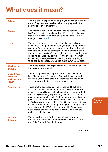# <span id="page-36-0"></span>**What does it mean?**

| <b>Adviser</b>                                        | This is a benefit expert who can give you advice about your<br>claim. They may also be able to help you prepare for the<br>hearing or even represent you.                                                                                                                                                                                                                                                                                                                                                                                                                                                                                                                      |
|-------------------------------------------------------|--------------------------------------------------------------------------------------------------------------------------------------------------------------------------------------------------------------------------------------------------------------------------------------------------------------------------------------------------------------------------------------------------------------------------------------------------------------------------------------------------------------------------------------------------------------------------------------------------------------------------------------------------------------------------------|
| <b>Appeal</b>                                         | This means a panel of two experts who do not work for the<br>DWP will look at your claim and see if the right decision was<br>made. If they think the wrong decision was made, they will<br>change it. See page 22.                                                                                                                                                                                                                                                                                                                                                                                                                                                            |
| <b>Carer</b>                                          | This is a person who helps you often, like every day or<br>every week. It might be somebody you pay, or might be your<br>partner, a family member, or a friend or neighbour. The help<br>they give you might be physical help (for example to get in<br>the bath or up the stairs), they might help you by getting your<br>shopping because you can't get to the shops by yourself,<br>or they might help you by encouraging and prompting you<br>to do things, or supervising you to make sure you are safe.                                                                                                                                                                  |
| <b>Clerk to the</b><br><b>Tribunal</b>                | This is the person who organises the hearing and deals with<br>the paperwork and admin.                                                                                                                                                                                                                                                                                                                                                                                                                                                                                                                                                                                        |
| <b>Department</b><br>for Work<br>and Pension<br>(DWP) | This is the government department that deals with most<br>benefits, including Employment Support Allowance and<br>Universal Credit. They also run Jobcentres and the office<br>which arranges the face to face assessments.                                                                                                                                                                                                                                                                                                                                                                                                                                                    |
| <b>Descriptors</b>                                    | These are the descriptions of very specific difficulties on<br>which entitlement to ESA or Universal Credit on the basis<br>of limited capability for work is based. Each descriptor that<br>applies to you gives you points. If you receive 15 or more<br>points, you are entitled to ESA. If you receive more than 15<br>points on one descriptor (except in activities 8, 10 and 15<br>- 'Finding your way and being safe', 'Consciousness during<br>waking moments', and 'Getting about') you will be put in the<br>support group (for ESA) or limited capability for work and<br>work-related activity group (for Universal Credit) and are<br>entitled to a higher rate. |
| <b>First-tier</b><br><b>Tribunal</b>                  | This is another name for the panel of experts who hear<br>appeals. Benefit appeals are heard by the Social Security<br>and Child Support First-tier tribunal.                                                                                                                                                                                                                                                                                                                                                                                                                                                                                                                  |

(continued)

**What does it mean?**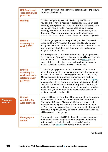| <b>HM Courts and</b><br><b>Tribunal Service</b><br>(HMCTS)                        | This is the government department that organises the tribunal<br>panel and the hearing.                                                                                                                                                                                                                                                                                                                                                                                                                                                                                                                                      |
|-----------------------------------------------------------------------------------|------------------------------------------------------------------------------------------------------------------------------------------------------------------------------------------------------------------------------------------------------------------------------------------------------------------------------------------------------------------------------------------------------------------------------------------------------------------------------------------------------------------------------------------------------------------------------------------------------------------------------|
| <b>Hearing</b>                                                                    | This is when your appeal is looked at by the Tribunal.<br>You can either have a hearing in person (also called an 'oral<br>hearing') when you go and speak to the Tribunal face to face.<br>Or you can have a written hearing (also called a 'paper<br>hearing') when the tribunal just look at the papers again on<br>their own. We strongly advise you to go to a hearing in<br>person. You have a <i>much</i> better chance of success if you do.                                                                                                                                                                         |
| <b>Limited</b><br>capability for<br>work (LCW)                                    | This is the group that you are put in if you claim Universal<br>Credit and the DWP accept that your condition limits your<br>ability to work now, but that you will be able to return to some<br>form of work in the future and they want you to do some<br>things to prepare for this.                                                                                                                                                                                                                                                                                                                                      |
|                                                                                   | It is the equivalent of the work-related activity group in ESA.<br>You have to get 15 points on the work capability assessment,<br>or if there would be a 'substantial risk' (see page 6) if you<br>were not, to be put in this group and you have to do work-<br>related activity to continue receiving the benefit.                                                                                                                                                                                                                                                                                                        |
| <b>Limited</b><br>capability for<br>work and work-<br>related activity<br>(LCWRA) | This is the group you are put in if the DWP or the tribunal<br>agree that you get 15 points on any one indicator (except in<br>activities 8, 10 and 15 - 'Finding your way and being safe',<br>'Consciousness during waking moments', and 'Getting<br>about'), or if there would be a 'substantial risk' (see page 6)<br>to yourself or others if you were not put in this group. It is the<br>Universal Credit version of the support group in ESA. If you<br>are in this group you get extra money to support your higher<br>needs, and you don't need to do 'work-related activity' to<br>continue receiving the benefit. |
| <b>Limited</b><br>capability for<br>work element                                  | Universal Credit is a new benefit being brought in to replace<br>6 income-based benefits – one of which is income-based<br>Employment Support Allowance. Under universal credit<br>everyone has to sign to accept a work commitment, if you<br>can't work at the moment but it is thought that in time or with<br>additional support you may be able to in the future, then you<br>will be placed in this group.                                                                                                                                                                                                             |
| <b>Manage your</b><br>appeal                                                      | A new service from HMCTS that enables people to manage<br>their appeal online, keeping track of progress, submitting<br>further evidence (including video and audio), and a<br>statement. See page 25 for details of how to use it.                                                                                                                                                                                                                                                                                                                                                                                          |

(continued)

**What does it mean?**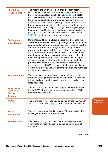| <b>Mandatory</b><br><b>Reconsideration</b>                               | This means the DWP will look at their decision again.<br>Most people must ask for a mandatory reconsideration<br>before you can appeal a decision. See page 18. People<br>who claimed ESA for the first time and were found to not<br>have limited capability to work, or claimed ESA and were<br>found to not have limited capability to work for the first time<br>but have received an award before, don't need to ask for a<br>reconsideration and can jump straight to the appeal stage.<br>If you don't need to ask for a mandatory reconsideration it<br>will say so on your decision letter from the DWP. Use our<br>WCA MR tool to ask for a reconsideration.                                                                                                                          |                              |
|--------------------------------------------------------------------------|-------------------------------------------------------------------------------------------------------------------------------------------------------------------------------------------------------------------------------------------------------------------------------------------------------------------------------------------------------------------------------------------------------------------------------------------------------------------------------------------------------------------------------------------------------------------------------------------------------------------------------------------------------------------------------------------------------------------------------------------------------------------------------------------------|------------------------------|
| <b>Preliminary</b><br>view/decision                                      | During Covid, HMCTS piloted a streamlined process that<br>allowed cases to be looked at by a judge sitting alone. If the<br>judge could see from the evidence already received that the<br>appellant was entitled to a higher award, they offered a<br>preliminary decision. Both the claimant and the DWP were<br>asked if they accept the preliminary decision. If either did<br>not, the case continued to an appeal hearing. If both did<br>accept the preliminary decision, the award was changed<br>straight away. At the time of writing, it is not clear if this<br>process will continue. If you are offered a preliminary<br>decision by the HMCTS, only accept it if you think it is the<br>correct award. If you think you might be entitled to more, ask<br>for an appeal hearing. |                              |
| <b>Representative</b>                                                    | This is an expert in benefits who might help you prepare<br>for the hearing, gather evidence for the appeal, write to the<br>tribunal and may be able to will come with you to help you<br>state your case.                                                                                                                                                                                                                                                                                                                                                                                                                                                                                                                                                                                     |                              |
| <b>Social Security</b><br>and Child<br><b>Support</b><br><b>Tribunal</b> | This is the name for the panel of experts who do not work<br>for the DWP who will hear your appeal to see if the DWP<br>made the right decision.                                                                                                                                                                                                                                                                                                                                                                                                                                                                                                                                                                                                                                                |                              |
| <b>SSCS1</b>                                                             | This is the paper form you use to ask for an appeal. You can<br>also do it online. See page 21 for advice on how to fill it in.                                                                                                                                                                                                                                                                                                                                                                                                                                                                                                                                                                                                                                                                 | <b>What does</b><br>it mean? |
| <b>Submit</b><br>your appeal                                             | This is a new system HM Courts and Tribunal Service that<br>allows you to lodge your appeal online.                                                                                                                                                                                                                                                                                                                                                                                                                                                                                                                                                                                                                                                                                             |                              |
| <b>Supersession</b>                                                      | This means having your claim looked at again because<br>your illness or disability has worsened since the date of<br>the decision.                                                                                                                                                                                                                                                                                                                                                                                                                                                                                                                                                                                                                                                              |                              |

(continued)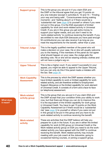|  | <b>Support group</b>                        | This is the group you are put in if you claim ESA and<br>the DWP or the tribunal agree that you get 15 points on<br>any one indicator (except in activities 8, 10 and $15 - 'Finding$<br>your way and being safe', 'Consciousness during waking<br>moments', and 'Getting about') or if there would be a<br>'substantial risk' (see page 6) to yourself or others if you were<br>not put in this group. It is the ESA equivalent of limited<br>capability for work and work-related activity in Universal<br>Credit. If you are in this group you get extra money to<br>support your higher needs, and you don't need to do<br>'work-related activity' to continue receiving the benefit. If you<br>are entitled to new style ESA (because you have paid enough<br>NI contributions) you can also receive it as long as you<br>meet the requirements for the benefit, rather than a year. |
|--|---------------------------------------------|-------------------------------------------------------------------------------------------------------------------------------------------------------------------------------------------------------------------------------------------------------------------------------------------------------------------------------------------------------------------------------------------------------------------------------------------------------------------------------------------------------------------------------------------------------------------------------------------------------------------------------------------------------------------------------------------------------------------------------------------------------------------------------------------------------------------------------------------------------------------------------------------|
|  | <b>Tribunal Judge</b>                       | This is the legally qualified member of the panel who will<br>make a decision on your case. He or she will usually welcome<br>you to the hearing. If the members of the panel do not agree<br>what should happen on your case, the Judge gets the<br>deciding vote. He or she will be wearing ordinary clothes and<br>will not have a judge's wig on.                                                                                                                                                                                                                                                                                                                                                                                                                                                                                                                                     |
|  | <b>Upper Tribunal</b>                       | This is like a higher court. If you weren't successful in your<br>appeal, you might be able to appeal to the Upper Tribunal,<br>but you can only do this if the panel made a mistake with<br>the law. See page 36.                                                                                                                                                                                                                                                                                                                                                                                                                                                                                                                                                                                                                                                                        |
|  | <b>Work Capability</b><br><b>Assessment</b> | This is the process by which the DWP assess whether you<br>have limited capability to work or limited capability for work-<br>related activity, and are therefore entitled to Employment<br>Support Allowance or the limited capability for work element<br>of Universal Credit. It consists of a form and a face-to-face<br>(or telephone) assessment.                                                                                                                                                                                                                                                                                                                                                                                                                                                                                                                                   |
|  | <b>Work-related</b><br>activity group       | This is the group that you are put in if you claim ESA and<br>the DWP accept that your condition limits your ability to work<br>now, but that there are things you can do to improve this.<br>It is the equivalent of the limited capability for work group<br>in Universal Credit. You have to get 15 points on the Work<br>Capability Assessment (or if there would be a 'substantial<br>risk' (see $page 6$ ) to yourself or others if you were not put<br>in this group) to be put in this group and you have to do<br>work-related activity to continue receiving the benefit.                                                                                                                                                                                                                                                                                                       |
|  | <b>Work-related</b><br>activity             | These are activities that the DWP believe will help you<br>prepare for a job in the future. If you are in either the limited<br>capability for work (LCW) group on Universal Credit or the<br>Work-related activity group on ESA you need to do the work-<br>related activity you have agreed with the DWP to continue<br>receiving the benefit. Work-related activity may include<br>meeting with your job coach at the Jobcentre, going to<br>occasional training courses, or joining a support group.                                                                                                                                                                                                                                                                                                                                                                                  |

**What does it mean?**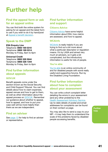# <span id="page-40-0"></span>**Further help**

# **Find the appeal form or ask for an appeal online**

You can find both the online system for asking for an appeal and the latest form to use if you wish to do it by hand/post at [Appeal a benefit decision.](https://www.gov.uk/appeal-benefit-decision/submit-appeal)

# **Speak to the DWP**

ESA Enquiry Line Telephone: 0800 169 0310 Textphone: 0800 169 0314 Monday to Friday, 8am to 6pm

Universal Credit Telephone: 0800 328 5644 Textphone: 0800 328 1344 Monday to Friday, 8am to 6pm

# **Find further information about appeals**

#### **GOV.UK**

Benefit appeals come under the section known as the Social Security and Child Support Tribunal. You can find details about how to claim expenses, appeal venues and how to get to them, as well as other information about the appeal process on [GOV.UK](https://www.gov.uk/appeal-benefit-decision). Remember our guidance about whether to appeal, how to appeal, and how to put your case well will be more helpful than theirs as we are independent.

# **Find an adviser**

See [page 13](#page-12-0) for help to find an adviser or representative.

# **Find further information and support**

#### **Citizens Advice**

[Citizens Advice](http://www.citizensadvice.org.uk/) have some helpful information about ESA, how claims are assessed, and how to appeal.

#### **WCAinfo**

[WCAinfo](https://wcainfo.net/) is really helpful if you are trying to find out a bit more about what a particular descriptor or regulation means. It's by LASA and aimed very much at advisers, so it gets a bit complicated, but the introductory information is useful for lots of people.

#### **You're able**

[You're able](http://www.youreable.com/) is an online community of and for disabled people with some really useful and supportive forums. Run by the Disabled Living Foundation.

# **Find further information about how to complain about your assessment**

You can write a short complaint letter detailing the errors in your assessment (and any other problems) to the [Health Assessment Advisory Service.](https://www.chdauk.co.uk/contact-us) Up-to-date details of postal and email addresses for complaints can be found on their contact us page.

You may also like to send a copy to your MP – it may help them to understand the scale of the problems faced by disabled people accessing benefits.

**Further help**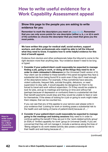# <span id="page-41-0"></span>**How to write useful evidence for a Work Capability Assessment appeal**

### **Show this page to the people you are asking to write evidence for you**

Remember to mark the descriptors you meet on [page 44-48](#page-43-0). Remember that you can only score points for one descriptor (either a, b, c or d) in each of the activities so choose the descriptor that you meet that gives you the most points.

We have written this page for medical staff, social workers, support workers, and other professionals who might be able to tell the tribunal what they need to know. It explains how to write helpful evidence for this kind of benefit appeal.

Evidence from doctors and other professionals helps the tribunal to come to the right decision more than anything else. Your evidence doesn't need to be long or typed.

1 Consider if your patient/client could reasonably be expected to manage finding a job, going to work, or doing all the things they need to do in order to claim Jobseeker's Allowance (or the Universal Credit version of it). Your client can be entitled to these benefits if the panel recognise they face a substantial risk from being found fit to work even if they don't meet enough of the descriptors below. For example, if they sometimes have seizures, violent outbursts, frequent falls, suicidal thoughts, delusions, or need supervision to stay safe, it would arguably be dangerous for them to be forced to travel and work without supervision. Or if they would be unable to look for jobs, and go to meetings and training on time and without fail (perhaps because of depression or confusion) there is a substantial risk that their benefit payments would stop and they would be unable to feed or care for themselves. If the stress of looking for a job or going to work might make them relapse, that can be counted too.

If you can see that any of this applies to your service user please write in your evidence that 'Looking for work or working poses a substantial risk to the health and well-being of [name of patient/client] because of….'

2 Consider if your patient/client could reasonably be expected to manage going to the meetings and training sessions they need to in order to continue getting the benefit if they are put in the 'work-related activity group' (in ESA) or 'limited capability for work' group (in Universal Credit). If you are concerned that they will not manage it, include a sentence along the lines of 'Being obliged to do work-related activity also poses a substantial risk to their health and well-being because of….'

(continued)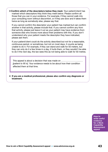<span id="page-42-0"></span>3 Confirm which of the descriptors below they meet. Your patient/client has marked which descriptors they think they meet below. Please confirm all those that you can in your evidence. For example, if they cannot walk into your consulting room without discomfort, or if they are slow and it takes them twice as long as somebody else, please say that.

If you cannot confirm the descriptor your patient has marked but can confirm another in that activity, please include that. If you cannot confirm any from that activity, please just leave it out as your patient may have evidence from someone else who knows more about their problems with this. If you don't understand why your patient meets the descriptor they have indicated, please ask them.

If your patient/client could do the activity described but not for a reasonable, continuous period, or sometimes, but not on most days, it counts as being unable to do it. For example, if they can stand and walk for 50 meters, but they can only do it a few times in a day, it hurts them, or they wouldn't be able to do it the next day, the law sees this as not being able to walk for 50 metres.

This appeal is about a decision that was made on ………………………......…. *[patient to fill in]*. Your evidence needs to be about how their condition affected them at that time.

4 If you are a medical professional, please also confirm any diagnosis or treatment.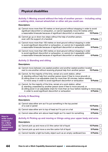# <span id="page-43-0"></span>**Physical disabilities**

#### **Activity 1: Moving around without the help of another person – including using a walking stick, manual wheelchair or other aid you could use.**

#### Descriptors:

| (a) Cannot move more than 50 metres on level ground without stopping in order to avoid<br>significant discomfort or exhaustion, or cannot repeatedly move 50 metres within<br>a reasonable timescale because of significant discomfort or exhaustion | <b>15 Points</b> |  |
|------------------------------------------------------------------------------------------------------------------------------------------------------------------------------------------------------------------------------------------------------|------------------|--|
| (b) Cannot go up or down two steps without the help of another person,<br>even with the support of a handrail                                                                                                                                        | 9 Points         |  |
| (c) Cannot move more than 100 metres on level ground without stopping in order<br>to avoid significant discomfort or exhaustion, or cannot do it repeatedly within<br>a reasonable timescale because of significant discomfort or exhaustion         | 9 Points         |  |
| (d) Cannot move more than 200 metres on level ground without stopping in order<br>to avoid significant discomfort or exhaustion, or cannot do it repeatedly within<br>a reasonable timescale because of significant discomfort or exhaustion         | <b>6 Points</b>  |  |

#### **Activity 2: Standing and sitting**

#### Descriptors:

| (a) Cannot move between one seated position and another seated position located<br>next to one another without receiving physical help from another person<br><b>15 Points</b>                                                                                                                                                           |  |  |  |
|------------------------------------------------------------------------------------------------------------------------------------------------------------------------------------------------------------------------------------------------------------------------------------------------------------------------------------------|--|--|--|
| (b) Cannot, for the majority of the time, remain at a work station, either:<br>(i) standing without help from another person (even if free to move around); or<br>(ii) sitting (even in an adjustable chair) for more than 30 minutes, before needing<br>to move away in order to avoid significant discomfort or exhaustion<br>9 Points |  |  |  |
| (c) Cannot, for the majority of the time, remain at a work station, either:<br>(i) standing unassisted by another person (even if free to move around); or<br>(ii) sitting (even in an adjustable chair) for more than an hour before needing to move away<br>in order to avoid significant discomfort or exhaustion<br><b>6 Points</b>  |  |  |  |

#### **Activity 3: Reaching**

#### Descriptors:

| (a) Cannot raise either arm as if to put something in the top pocket<br>of a coat or jacket | 15 Points [     |
|---------------------------------------------------------------------------------------------|-----------------|
| (b) Cannot raise either arm to top of head as if to put on a hat                            | 9 Points        |
| (c) Cannot raise either arm above head height as if to reach for something                  | 6 Points $\Box$ |

#### **Activity 4: Picking up and moving or things using your upper body and arms**

#### Descriptors:

| (a) Cannot pick up and move a 0.5 litre carton full of liquid               | 15 Points $\Box$ |
|-----------------------------------------------------------------------------|------------------|
| (b) Cannot pick up and move a one litre carton full of liquid               | 9 Points $\Box$  |
| (c) Cannot transfer a light but bulky object such as an empty cardboard box | 6 Points $\Box$  |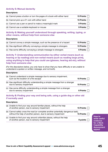#### **Activity 5: Manual dexterity**

#### Descriptors:

| (a) Cannot press a button or turn the pages of a book with either hand | 15 Points $\Box$ |
|------------------------------------------------------------------------|------------------|
| (b) Cannot pick up a £1 coin with either hand                          | 15 Points $\Box$ |
| (c) Cannot use a pen or pencil to make a meaningful mark               | 9 Points $\Box$  |
| (d) Cannot use a suitable keyboard or mouse                            | 9 Points $\Box$  |

#### **Activity 6: Making yourself understood through speaking, writing, typing, or other means, without help from someone else**

#### Descriptors:

| (a) Cannot convey a simple message, such as the presence of a hazard   | 15 Points $\Box$ |
|------------------------------------------------------------------------|------------------|
| (b) Has significant difficulty conveying a simple message to strangers | 15 Points $\Box$ |
| (c) Has some difficulty conveying a simple message to strangers        | 6 Points $\Box$  |

#### **Activity 7: Understanding communication by either verbal means (such as hearing or lip reading) and non-verbal means (such as reading large print), using anything to help that you could use (glasses, hearing aid etc), without help from someone else**

*(For the descriptors below, you only have to show that you have difficulty or are unable to understand a spoken or written message, and not both).*

#### Descriptors:

| (a) Cannot understand a simple message due to sensory impairment,<br>such as the location of a fire escape | 15 Points $ $    |
|------------------------------------------------------------------------------------------------------------|------------------|
| (b) Has significant difficulty understanding a simple message from a stranger<br>due to sensory impairment | <b>15 Points</b> |
| (c) Has some difficulty understanding a simple message from a stranger<br>due to sensory impairment        | <b>6 Points</b>  |

#### **Activity 8: Finding your way and being safe, using a guide dog or other aid if normally used**

#### Descriptors:

| (a) Unable to find your way around familiar places, without the help<br>of another person, due to sensory impairment                                | 15 Points |
|-----------------------------------------------------------------------------------------------------------------------------------------------------|-----------|
| (b) Cannot safely cross the road (or complete another potentially dangerous task),<br>without the help of another person, due to sensory impairment | 15 Points |
| (c) Unable to find your way around unfamiliar places, without the help<br>of another person, due to sensory impairment                              | 9 points  |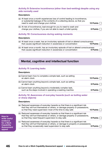#### **Activity 9: Extensive incontinence (other than bed-wetting) despite using any aids normally used**

#### Descriptors:

| (a) At least once a month experiences loss of control leading to incontinence,<br>or substantial leakage of the contents of a collecting device, so that you<br>need to wash and change your clothes | 15 Points $\Box$ |
|------------------------------------------------------------------------------------------------------------------------------------------------------------------------------------------------------|------------------|
| (b) At risk of incontinence, bad enough for you to need to wash and<br>change your clothes, if you are not able to reach a toilet quickly                                                            | 6 Points         |

#### **Activity 10: Consciousness during waking moments**

#### Descriptors:

| (a) At least once a week, has an involuntary episode of lost or altered consciousness |                  |
|---------------------------------------------------------------------------------------|------------------|
| that causes significant reduction in awareness or concentration                       | 15 Points $\Box$ |

(b) At least once a month, has an involuntary episode of lost or altered consciousness that causes significant reduction in awareness or concentration  $\overline{\phantom{a}}$  6 Points  $\overline{\phantom{a}}$ t[h](http://)at causes significant reduction in awareness or concentration

# **Mental, cognitive and intellectual function**

#### **Activity 11: Learning tasks**

#### Descriptors:

| (a) Cannot learn how to complete a simple task, such as setting<br>an alarm clock                                        | 15 Points       |
|--------------------------------------------------------------------------------------------------------------------------|-----------------|
| (b) Cannot learn anything beyond a simple task, such as setting<br>an alarm clock                                        | 9 Points $\Box$ |
| (c) Cannot learn anything beyond a moderately complex task,<br>such as the steps involved in operating a washing machine | 6 Points        |

#### **Activity 12: Awareness of everyday hazards (such as boiling water or sharp objects)**

#### Descriptors:

| (a) Reduced awareness of everyday hazards so that there is a significant risk<br>that they will hurt themselves or others, or damage property or possessions,<br>so that they need supervision most of the time to stay safe | <b>15 Points</b> |
|------------------------------------------------------------------------------------------------------------------------------------------------------------------------------------------------------------------------------|------------------|
| (b) Reduced awareness of everyday hazards so that there is a significant risk<br>that they will hurt themselves or others, or damage property or possessions,<br>so that they need frequent supervision to stay safe         | <b>9 Points</b>  |
| (c) Reduced awareness of everyday hazards so that there is a significant risk<br>that they will hurt themselves or others, or damage to property or possessions,<br>so that they occasionally need supervision to stay safe  |                  |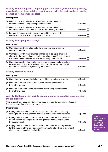#### **Activity 13: Initiating and completing personal action (which means planning, organisation, problem solving, prioritising or switching tasks without needing prompting from somebody else)**

#### Descriptors:

| (a) Cannot, due to impaired mental function, reliably initiate or<br>complete at least 2 sequential personal actions                   | 15 Points |
|----------------------------------------------------------------------------------------------------------------------------------------|-----------|
| (b) Cannot, due to impaired mental function, reliably initiate or<br>complete at least 2 personal actions for the majority of the time | 9 Points  |
| (c) Frequently cannot, due to impaired mental function, reliably<br>initiate or complete at least 2 personal actions                   | 6 Points  |

#### **Activity 14: Coping with change**

#### Descriptors:

| (a) Cannot cope with any change to the extent that day to day life<br>cannot be managed                                                                                                                          | 15 Points       |
|------------------------------------------------------------------------------------------------------------------------------------------------------------------------------------------------------------------|-----------------|
| (b) Cannot cope with minor planned change (such as a pre-arranged<br>change to the routine time scheduled for a lunch break), to the extent<br>that overall day to day life is made significantly more difficult | 9 Points        |
| (c) Cannot cope with minor unplanned change (such as the timing of an<br>appointment on the day it is due to occur), to the extent that overall,<br>day to day life is made significantly more difficult         | <b>6 Points</b> |

#### **Activity 15: Getting about**

#### Descriptors:

| (a) Cannot get to any specified place with which the claimant is familiar                 | 15 Points       |
|-------------------------------------------------------------------------------------------|-----------------|
| (b) Is unable to go to a familiar place without being accompanied<br>by another person    | 9 Points $\Box$ |
| (c) Is unable to go to an unfamiliar place without being accompanied<br>by another person | 6 Points $\Box$ |

#### **Activity 16: Coping with social engagement due to cognitive impairment or mental disorder**

*(This is about your ability to interact with people in face-to-face social situations. It must be more than shyness or reticence.)*

#### Descriptors:

| (a) Engagement in social contact is always impossible due to difficulty<br>relating to others or significant distress experienced by the individual                                                    | 15 points $\Box$ |
|--------------------------------------------------------------------------------------------------------------------------------------------------------------------------------------------------------|------------------|
| (b) Engagement in social contact with someone unfamiliar is impossible<br>due to difficulty relating to others or significant distress experienced<br>by the individual                                | 9 Points         |
| (c) Engagement in social contact with someone unfamiliar is not possible<br>for the majority of the time due to difficulty relating to others or significant<br>distress experienced by the individual | <b>6 Points</b>  |

ent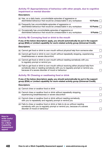#### **Activity 17: Appropriateness of behaviour with other people, due to cognitive impairment or mental disorder**

#### Descriptors:

| (a) Has, on a daily basis, uncontrollable episodes of aggressive or<br>disinhibited behaviour that would be unreasonable in any workplace | 15 Points $\Box$ |
|-------------------------------------------------------------------------------------------------------------------------------------------|------------------|
| (b) Frequently has uncontrollable episodes of aggressive or<br>disinhibited behaviour that would be unreasonable in any workplace         | 15 Points $\Box$ |
| (c) Occasionally has uncontrollable episodes of aggressive or<br>disinhibited behaviour that would be unreasonable in any workplace       | 9 Points $\Box$  |

#### **Activity 18: Conveying food or drink to the mouth**

#### If any of the below descriptors apply, you should automatically be put in the support group (ESA) or Limited capability for work-related activity group (Universal Credit).

#### Descriptors:

| (a) Cannot get food or drink to own mouth without physical help from someone else                                                                                                                                             |  |
|-------------------------------------------------------------------------------------------------------------------------------------------------------------------------------------------------------------------------------|--|
| (b) Cannot get food or drink to own mouth without repeatedly stopping, experiencing<br>breathlessness or severe discomfort;                                                                                                   |  |
| (c) Cannot get food or drink to own mouth without needing somebody with you<br>to regularly prompt or remind you                                                                                                              |  |
| (d) Fails to get food or drink to own mouth without receiving either physical help from<br>somebody else or needing somebody with you to regularly prompt or remind you,<br>because of a severe disorder of mood or behaviour |  |

#### **Activity 19: Chewing or swallowing food or drink**

If any of the below descriptors apply, you should automatically be put in the support group (ESA) or Limited capability for work-related activity group (Universal Credit).

#### Descriptors:

| (a) Cannot chew or swallow food or drink                                                                                                                                                  |  |
|-------------------------------------------------------------------------------------------------------------------------------------------------------------------------------------------|--|
| (b) Cannot chew or swallow food or drink without repeatedly stopping,<br>experiencing breathlessness or severe discomfort                                                                 |  |
| (c) Cannot chew or swallow food or drink without needing somebody<br>with you to repeatedly and regularly prompt or remind you                                                            |  |
| (d) Fails to chew or swallow food or drink or fails to do so without needing<br>somebody with you to regularly prompt or remind you, because of a severe<br>disorder of mood or behaviour |  |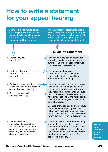# <span id="page-48-0"></span>**How to write a statement for your appeal hearing**

On the left is information to help you write your statement to the tribunal. It tells you all the things you should try to put in your statement and how to begin.

On the right is the statement Mikaela sent to the panel looking at her appeal. We have included it to show you what sorts of details about your condition you should include in your statement.

# Explain why you are writing.

- Tell them what you think you should be entitled to.
- Explain the main symptoms or difficulties you have because of your illness or disability.
- Remember to explain how they affect you.

**If you feel better on** some days than on others, explain what help you need on both. If you can, say how frequently you have better days and bad days.

I am appealing the decision as I believe that I should have been placed in the limited capability for work-related activity group.

component of Universal Credit.

I am writing to explain my reason for appealing the decision to refuse me an award of the limited capability for work

**Mikaela's Statement**

I have severe epilepsy and depression. I get little or no warning of seizures and have frequently been hurt when they occur. Immediately after a seizure I am confused and disorientated and have acted irrationally and hurt people. I feel terrible and 'foggy' for about four days afterwards.

Because of my depression and because of the lethargy caused by seizures, I often can't face getting up, so I stay in bed – sometimes all day, because I know I won't get hurt if I have a seizure there.

I have 3-6 seizures a month on average. Immediately after a seizure I feel very disorientated and confused, and I can be panicky and aggressive. I also feel very lethargic and I can't think straight for about 4 days afterwards. I feel depressed every day.

**How to write a statement for your appeal hearing**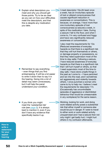• Explain what descriptors you meet and why you should get those points. Try to be as clear as you can on how your difficulties meet the descriptors, and that this is despite any medication you take.

- Remember to say everything – even things that you find embarrassing. It will be a lot easier to write it down than to say it in the hearing. Going into a lot of detail may seem unnecessary, but it will help the panel understand your condition.
- If you think you might meet the 'substantial risk' rule (see  $page\ 6$ ), it is always best to mention it, even if you don't have any evidence that specifically backs it up.

I meet descriptor 10a (At least once a week, has an involuntary episode of lost or altered consciousness that causes significant reduction in awareness or concentration). This is because, on average, I have more than one involuntary episode of lost consciousness (a seizure) a week, in spite of the medication I take. During a seizure I fall to the floor, and when I come to, I'm very confused and foggy and have very significantly reduced awareness or concentration.

I also meet the requirements for 12a (Reduced awareness of everyday hazards so that there is a significant risk that they will hurt themselves or others, or damage property or possessions, so that they need supervision most of the time to stay safe). Following a seizure, I have reduced awareness of everyday hazards so that there is a significant risk that I will hurt myself or others, so that I need supervision most of the time to stay safe. I have done unsafe things in the past as I come to – I have panicked and ran into the road, and I sometimes act aggressively and violently towards others. I once punched a woman who came to try to help me. I believe I meet the requirements for descriptor 17c (Occasionally has uncontrollable episodes of aggressive or disinhibited behaviour that would be unreasonable in any workplace) for the same reason.

Working, looking for work, and doing work-related activity poses a substantial risk that either myself or someone else would be put in danger. If I were to travel to either work or work-related activity unsupervised and I had a seizure then not only might I get badly hurt, I might hurt others in my confusion afterwards.

**How to write a statement for your appeal hearing**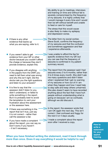My ability to go to meetings, interviews and training on time and without fail is severely compromised by the frequency of my seizures. It is highly unlikely that I would manage it every time and I would then be left without benefit and unable to feed or care for myself.

The stress that this would cause is also likely to make my epilepsy and depression worse.

The letter from my social worker,

- **•** If there is any other evidence that backs up what you are saying, refer to it.
- If you weren't able to get evidence from your GP or other doctor because you couldn't afford the charge or because they don't provide evidence, explain this.
- If you disagree with anything in the papers from the DWP, you need to tell them what was wrong and why this isn't right. Did the doctor ask you the right questions and listen to your answers?
- It is fine to say that the assessor didn't listen to you, didn't understand, or failed to write something in the report. But it is probably best to avoid the temptation to vent your frustration about the assessment or the assessor here.
- **•** If there was something in the report that isn't true, just say it is not correct – rather than call the assessor a liar.
- **•** If you have made a complaint about the report, you can say so. Don't worry if you haven't – it isn't necessary.

Steve Scott, confirms the frequency of my seizures and that the confusion and sometimes aggression and fear I experience afterwards.

I was unable to afford the fee for specific evidence from my GP, but you can see that the frequency of seizures is confirmed in my patient summary record.

The report from the assessor said I had seizures every 3 to 6 months, rather than 3 to 6 times every month. She didn't ask me many questions and didn't listen when I explained that I get no warning of my seizures or how out of it I am when they happen and how I need help  $\triangleright$  to stay safe and keep others unharmed. She also doesn't seem to have recorded anything about the fact that I have hurt people without understanding what is going on because I am so confused, although we did discuss it.

In the report, the assessor wrote that I am OK again the next day. This isn't correct. I feel confused and foggy for the next 3 or 4 days usually.

I made a complaint about the report soon after I received a copy.

**How to write a statement for your appeal hearing**

When you have finished writing the statement, read it back through more than once. Does it say everything it would be helpful to say?